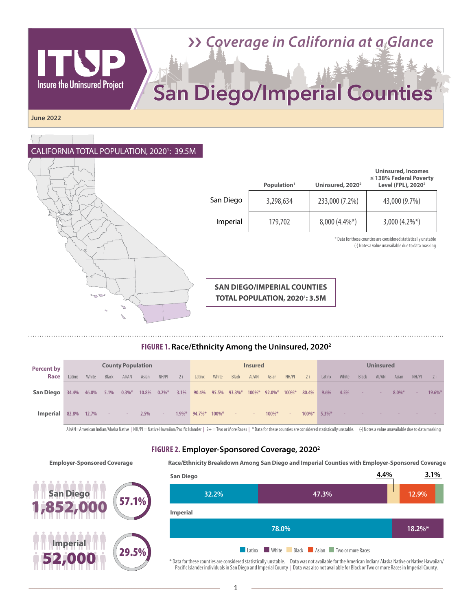# ›› *Coverage in California at a Glance*

# San Diego/Imperial Counties

**June 2022**

**Insure the Uninsured Project** 

#### CALIFORNIA TOTAL POPULATION, 2020<sup>1</sup>: 39.5M



|           | Population <sup>1</sup> | Uninsured, 2020 <sup>2</sup> | <b>Uninsured, Incomes</b><br>$\leq$ 138% Federal Poverty<br>Level (FPL), 2020 <sup>2</sup> |
|-----------|-------------------------|------------------------------|--------------------------------------------------------------------------------------------|
| San Diego | 3,298,634               | 233,000 (7.2%)               | 43,000 (9.7%)                                                                              |
| Imperial  | 179,702                 | $8,000(4.4\%*)$              | $3,000(4.2\%)$                                                                             |

\* Data for these counties are considered statistically unstable (-) Notes a value unavailable due to data masking

**SAN DIEGO/IMPERIAL COUNTIES TOTAL POPULATION, 20201: 3.5M** 

#### **FIGURE 1. Race/Ethnicity Among the Uninsured, 20202**

| <b>Percent by</b>             | <b>County Population</b> |       |              |                        | <b>Insured</b> |        |      |                  | <b>Uninsured</b> |                                                            |       |       |            |                 |         |       |                      |       |           |                |            |
|-------------------------------|--------------------------|-------|--------------|------------------------|----------------|--------|------|------------------|------------------|------------------------------------------------------------|-------|-------|------------|-----------------|---------|-------|----------------------|-------|-----------|----------------|------------|
| Race                          | Latinx                   | White | <b>Black</b> | AI/AN                  | Asian          | NH/PI  | $2+$ | Latinx           | White            | <b>Black</b>                                               | AI/AN | Asian | NH/PI      | $2+$            | Latinx  | White | <b>Black</b>         | AI/AN | Asian     | NH/PI          | $2+$       |
| San Diego                     |                          |       |              | 34.4% 46.0% 5.1% 0.3%* | 10.8%          |        |      |                  |                  | $0.2\%$ * 3.1% 90.4% 95.5% 93.3%* 100%* 92.0%* 100%* 80.4% |       |       |            |                 | $9.6\%$ | 4.5%  | and with the company |       | $8.0\%$ * | <b>College</b> | $19.6\%$ * |
| <b>Imperial</b> 82.8% 12.7% - |                          |       |              | $\sim$                 | 2.5%           | $\sim$ |      | $1.9\%$ $94.7\%$ | $100\%$ *        | <b>Section</b>                                             | $-7$  | 100%* | $\sim$ $-$ | $100\%$ * 5.3%* |         |       |                      |       |           |                |            |

AI/AN=American Indian/Alaska Native | NH/PI = Native Hawaiian/Pacific Islander | 2+ = Two or More Races | \* Data for these counties are considered statistically unstable. | (-) Notes a value unavailable due to data masking

#### **FIGURE 2. Employer-Sponsored Coverage, 20202**

#### **Employer-Sponsored Coverage Race/Ethnicity Breakdown Among San Diego and Imperial Counties with Employer-Sponsored Coverage**



| <b>San Diego</b> |       |       |                                                   | 4.4% | 3.1%   |
|------------------|-------|-------|---------------------------------------------------|------|--------|
|                  | 32.2% |       | 47.3%                                             |      | 12.9%  |
| Imperial         |       |       |                                                   |      |        |
|                  |       | 78.0% |                                                   |      | 18.2%* |
|                  |       |       | <b>Latinx White Black Asian</b> Two or more Races |      |        |

\* Data for these counties are considered statistically unstable. | Data was not available for the American Indian/ Alaska Native or Native Hawaiian/ Pacific Islander individuals in San Diego and Imperial County | Data was also not available for Black or Two or more Races in Imperial County.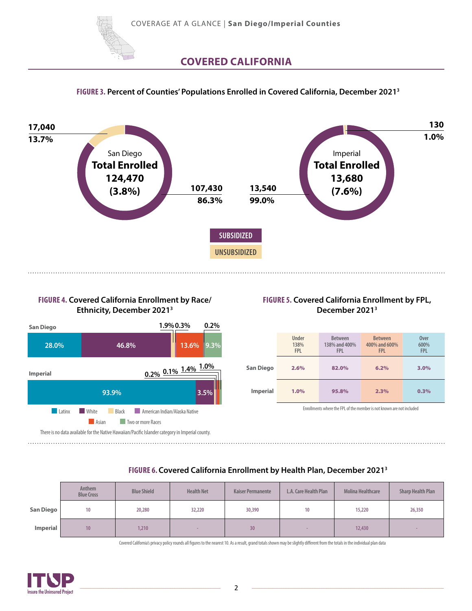

### **COVERED CALIFORNIA**

#### **FIGURE 3. Percent of Counties' Populations Enrolled in Covered California, December 20213**



#### **FIGURE 4. Covered California Enrollment by Race/ Ethnicity, December 20213**



#### **FIGURE 5. Covered California Enrollment by FPL, December 20213**

|                 | <b>Under</b><br>138%<br><b>FPL</b> | <b>Between</b><br>138% and 400%<br><b>FPL</b> | <b>Between</b><br>400% and 600%<br><b>FPL</b> | <b>Over</b><br>600%<br><b>FPL</b> |
|-----------------|------------------------------------|-----------------------------------------------|-----------------------------------------------|-----------------------------------|
| San Diego       | 2.6%                               | 82.0%                                         | 6.2%                                          | 3.0%                              |
| <b>Imperial</b> | 1.0%                               | 95.8%                                         | 2.3%                                          | 0.3%                              |

Enrollments where the FPL of the member is not known are not included

#### **FIGURE 6. Covered California Enrollment by Health Plan, December 20213**

|           | Anthem<br><b>Blue Cross</b> | <b>Blue Shield</b> | <b>Health Net</b> | <b>Kaiser Permanente</b> | L.A. Care Health Plan | <b>Molina Healthcare</b> | <b>Sharp Health Plan</b> |
|-----------|-----------------------------|--------------------|-------------------|--------------------------|-----------------------|--------------------------|--------------------------|
| San Diego | 10                          | 20,280             | 32,220            | 30,390                   | 10 <sup>°</sup>       | 15,220                   | 26,350                   |
| Imperial  | 10 <sup>°</sup>             | 1,210              |                   | 30 <sub>2</sub>          |                       | 12,430                   |                          |

Covered California's privacy policy rounds all figures to the nearest 10. As a result, grand totals shown may be slightly different from the totals in the individual plan data

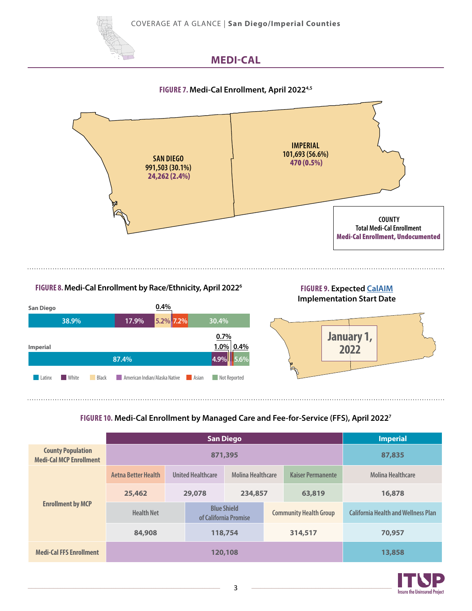COVERAGE AT A GLANCE | **San Diego/Imperial Counties**



# **MEDI-CAL**

#### **FIGURE 7. Medi-Cal Enrollment, April 20224,5**



#### **FIGURE 8. Medi-Cal Enrollment by Race/Ethnicity, April 20226**

#### **FIGURE 9. Expected [CalAIM](https://www.itup.org/itup-blog-calaim-summary-and-timeline/) Implementation Start Date**



#### **FIGURE 10. Medi-Cal Enrollment by Managed Care and Fee-for-Service (FFS), April 20227**

|                                                            |                     | <b>Imperial</b> |                                             |                          |  |                               |                                            |  |  |
|------------------------------------------------------------|---------------------|-----------------|---------------------------------------------|--------------------------|--|-------------------------------|--------------------------------------------|--|--|
| <b>County Population</b><br><b>Medi-Cal MCP Enrollment</b> |                     | 87,835          |                                             |                          |  |                               |                                            |  |  |
|                                                            | Aetna Better Health |                 | <b>United Healthcare</b>                    | <b>Molina Healthcare</b> |  | <b>Kaiser Permanente</b>      | <b>Molina Healthcare</b>                   |  |  |
|                                                            | 25,462              | 29,078          |                                             | 234,857                  |  | 63,819                        | 16,878                                     |  |  |
| <b>Enrollment by MCP</b>                                   | <b>Health Net</b>   |                 | <b>Blue Shield</b><br>of California Promise |                          |  | <b>Community Health Group</b> | <b>California Health and Wellness Plan</b> |  |  |
|                                                            | 84,908              |                 | 118,754                                     |                          |  | 314,517                       | 70,957                                     |  |  |
| <b>Medi-Cal FFS Enrollment</b>                             | 120,108             |                 |                                             |                          |  |                               | 13,858                                     |  |  |

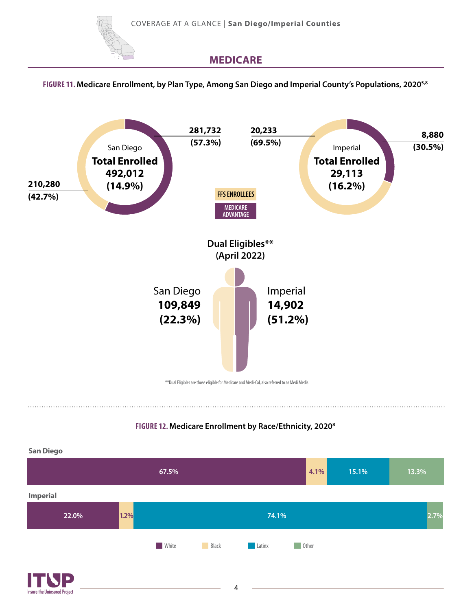



Insure the Uninsured Project

## **MEDICARE**

#### **FIGURE 11. Medicare Enrollment, by Plan Type, Among San Diego and Imperial County's Populations, 20205,8**



#### **FIGURE 12. Medicare Enrollment by Race/Ethnicity, 20208**

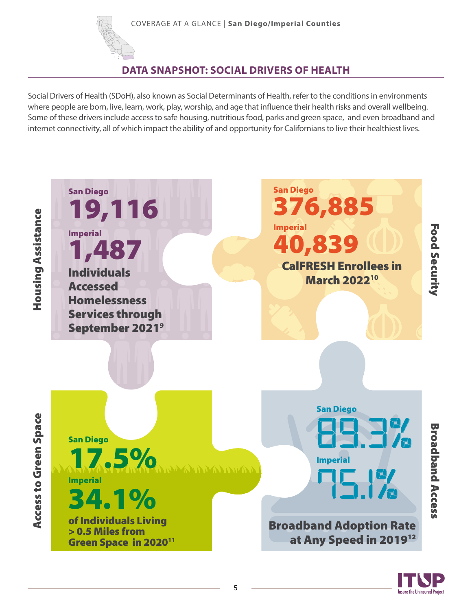

# **DATA SNAPSHOT: SOCIAL DRIVERS OF HEALTH**

Social Drivers of Health (SDoH), also known as Social Determinants of Health, refer to the conditions in environments where people are born, live, learn, work, play, worship, and age that influence their health risks and overall wellbeing. Some of these drivers include access to safe housing, nutritious food, parks and green space, and even broadband and internet connectivity, all of which impact the ability of and opportunity for Californians to live their healthiest lives.